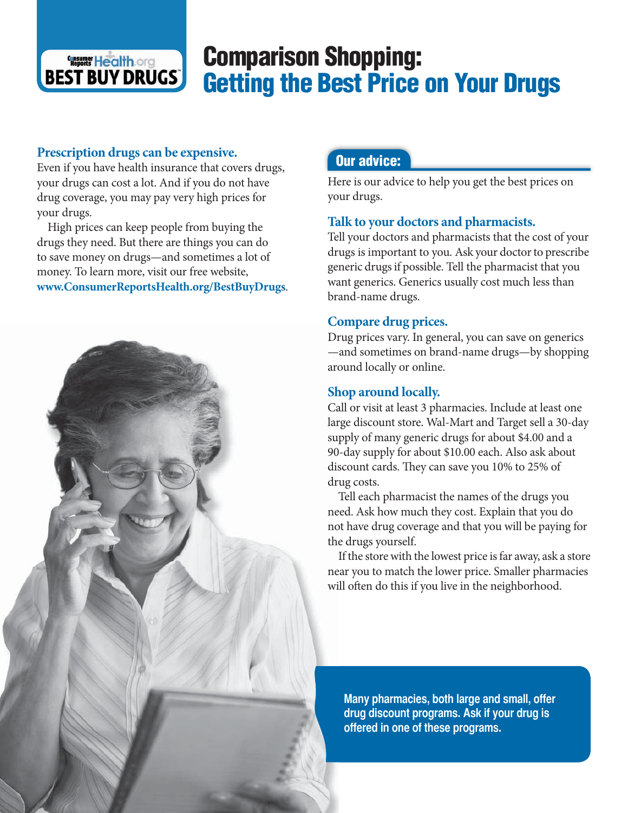# **Comparison Shopping: Getting the Best Price on Your Drugs**

#### **Prescription drugs can be expensive.**

**CINE Health. Org BEST BUY DRUGS** 

Even if you have health insurance that covers drugs, your drugs can cost a lot. And if you do not have drug coverage, you may pay very high prices for your drugs.

 High prices can keep people from buying the drugs they need. But there are things you can do to save money on drugs—and sometimes a lot of money. To learn more, visit our free website, **www.ConsumerReportsHealth.org/BestBuyDrugs**.



# **Our advice:**

Here is our advice to help you get the best prices on your drugs.

# **Talk to your doctors and pharmacists.**

Tell your doctors and pharmacists that the cost of your drugs is important to you. Ask your doctor to prescribe generic drugs if possible. Tell the pharmacist that you want generics. Generics usually cost much less than brand-name drugs.

# **Compare drug prices.**

Drug prices vary. In general, you can save on generics —and sometimes on brand-name drugs—by shopping around locally or online.

# **Shop around locally.**

Call or visit at least 3 pharmacies. Include at least one large discount store. Wal-Mart and Target sell a 30-day supply of many generic drugs for about \$4.00 and a 90-day supply for about \$10.00 each. Also ask about discount cards. They can save you 10% to 25% of drug costs.

 Tell each pharmacist the names of the drugs you need. Ask how much they cost. Explain that you do not have drug coverage and that you will be paying for the drugs yourself.

 If the store with the lowest price is far away, ask a store near you to match the lower price. Smaller pharmacies will often do this if you live in the neighborhood.

Many pharmacies, both large and small, offer drug discount programs. Ask if your drug is offered in one of these programs.